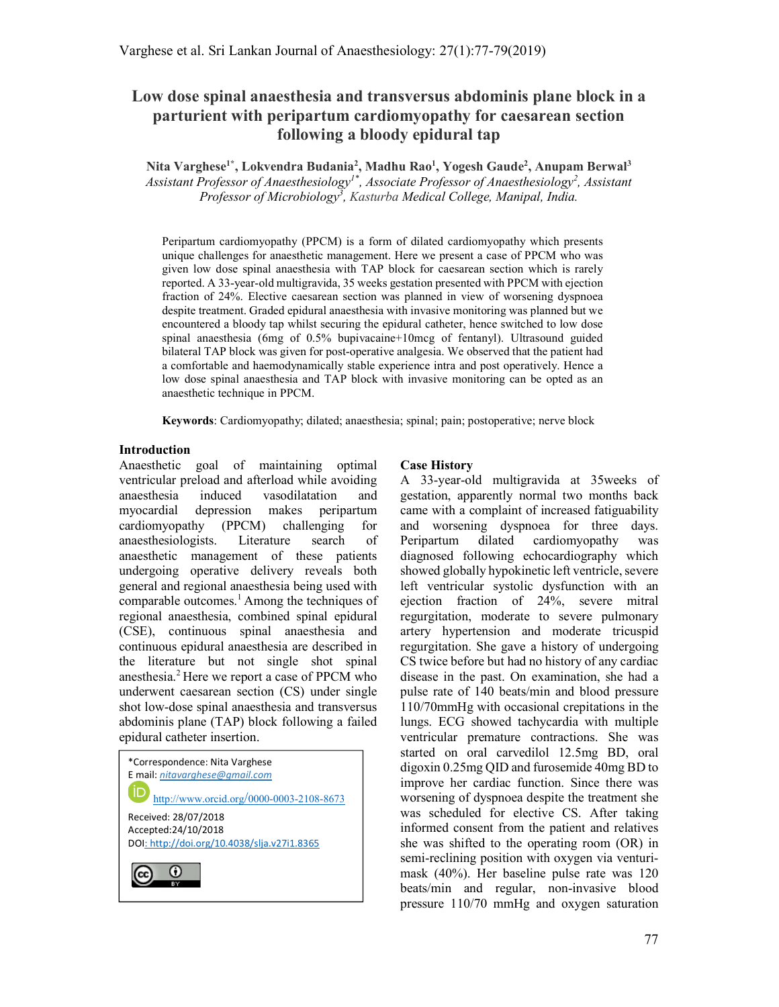# Low dose spinal anaesthesia and transversus abdominis plane block in a parturient with peripartum cardiomyopathy for caesarean section following a bloody epidural tap

Nita Varghese<sup>1\*</sup>, Lokvendra Budania<sup>2</sup>, Madhu Rao<sup>1</sup>, Yogesh Gaude<sup>2</sup>, Anupam Berwal<sup>3</sup> Assistant Professor of Anaesthesiology<sup>1\*</sup>, Associate Professor of Anaesthesiology<sup>2</sup>, Assistant Professor of Microbiology<sup>3</sup>, Kasturba Medical College, Manipal, India.

Peripartum cardiomyopathy (PPCM) is a form of dilated cardiomyopathy which presents unique challenges for anaesthetic management. Here we present a case of PPCM who was given low dose spinal anaesthesia with TAP block for caesarean section which is rarely reported. A 33-year-old multigravida, 35 weeks gestation presented with PPCM with ejection fraction of 24%. Elective caesarean section was planned in view of worsening dyspnoea despite treatment. Graded epidural anaesthesia with invasive monitoring was planned but we encountered a bloody tap whilst securing the epidural catheter, hence switched to low dose spinal anaesthesia (6mg of 0.5% bupivacaine+10mcg of fentanyl). Ultrasound guided bilateral TAP block was given for post-operative analgesia. We observed that the patient had a comfortable and haemodynamically stable experience intra and post operatively. Hence a low dose spinal anaesthesia and TAP block with invasive monitoring can be opted as an anaesthetic technique in PPCM.

Keywords: Cardiomyopathy; dilated; anaesthesia; spinal; pain; postoperative; nerve block

### Introduction

Anaesthetic goal of maintaining optimal ventricular preload and afterload while avoiding anaesthesia induced vasodilatation and myocardial depression makes peripartum cardiomyopathy (PPCM) challenging for anaesthesiologists. Literature search of anaesthetic management of these patients undergoing operative delivery reveals both general and regional anaesthesia being used with comparable outcomes.<sup>1</sup> Among the techniques of regional anaesthesia, combined spinal epidural (CSE), continuous spinal anaesthesia and continuous epidural anaesthesia are described in the literature but not single shot spinal anesthesia.<sup>2</sup> Here we report a case of PPCM who underwent caesarean section (CS) under single shot low-dose spinal anaesthesia and transversus abdominis plane (TAP) block following a failed epidural catheter insertion.

| *Correspondence: Nita Varghese<br>E mail: nitavarghese@gmail.com<br>http://www.orcid.org/0000-0003-2108-8673 |
|--------------------------------------------------------------------------------------------------------------|
| Received: 28/07/2018<br>Accepted:24/10/2018<br>DOI: http://doi.org/10.4038/slja.v27i1.8365                   |
|                                                                                                              |

## Case History

A 33-year-old multigravida at 35weeks of gestation, apparently normal two months back came with a complaint of increased fatiguability and worsening dyspnoea for three days. Peripartum dilated cardiomyopathy was diagnosed following echocardiography which showed globally hypokinetic left ventricle, severe left ventricular systolic dysfunction with an ejection fraction of 24%, severe mitral regurgitation, moderate to severe pulmonary artery hypertension and moderate tricuspid regurgitation. She gave a history of undergoing CS twice before but had no history of any cardiac disease in the past. On examination, she had a pulse rate of 140 beats/min and blood pressure 110/70mmHg with occasional crepitations in the lungs. ECG showed tachycardia with multiple ventricular premature contractions. She was started on oral carvedilol 12.5mg BD, oral digoxin 0.25mg QID and furosemide 40mg BD to improve her cardiac function. Since there was worsening of dyspnoea despite the treatment she was scheduled for elective CS. After taking informed consent from the patient and relatives she was shifted to the operating room (OR) in semi-reclining position with oxygen via venturimask (40%). Her baseline pulse rate was 120 beats/min and regular, non-invasive blood pressure 110/70 mmHg and oxygen saturation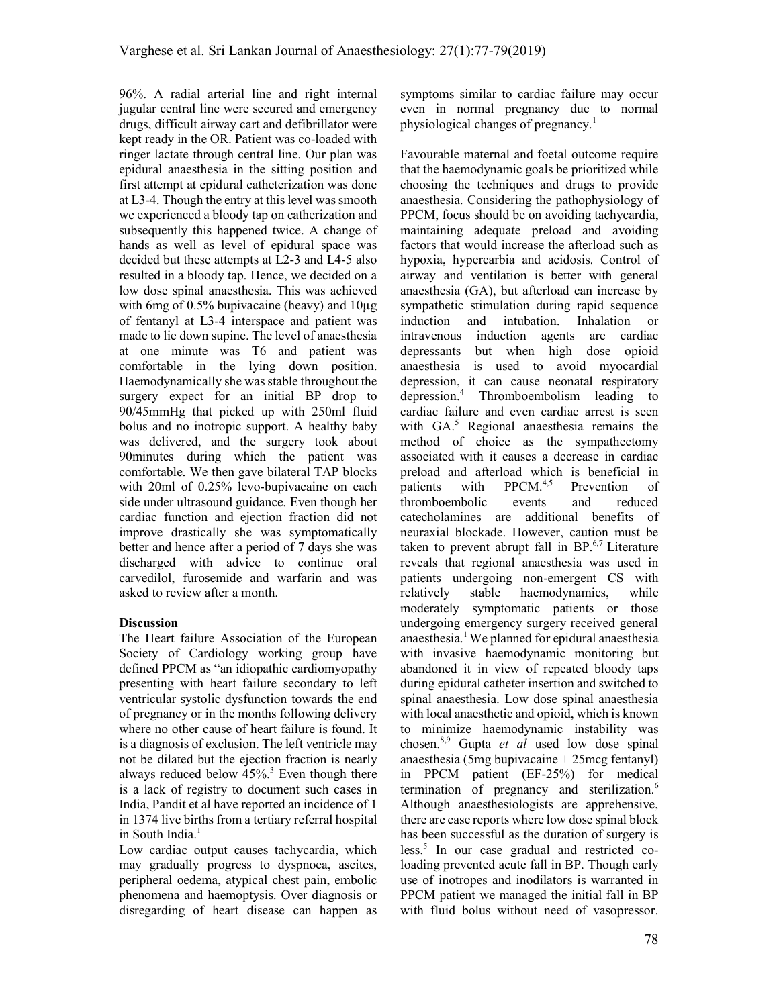96%. A radial arterial line and right internal jugular central line were secured and emergency drugs, difficult airway cart and defibrillator were kept ready in the OR. Patient was co-loaded with ringer lactate through central line. Our plan was epidural anaesthesia in the sitting position and first attempt at epidural catheterization was done at L3-4. Though the entry at this level was smooth we experienced a bloody tap on catherization and subsequently this happened twice. A change of hands as well as level of epidural space was decided but these attempts at L2-3 and L4-5 also resulted in a bloody tap. Hence, we decided on a low dose spinal anaesthesia. This was achieved with 6mg of  $0.5\%$  bupivacaine (heavy) and  $10\mu$ g of fentanyl at L3-4 interspace and patient was made to lie down supine. The level of anaesthesia at one minute was T6 and patient was comfortable in the lying down position. Haemodynamically she was stable throughout the surgery expect for an initial BP drop to 90/45mmHg that picked up with 250ml fluid bolus and no inotropic support. A healthy baby was delivered, and the surgery took about 90minutes during which the patient was comfortable. We then gave bilateral TAP blocks with 20ml of 0.25% levo-bupivacaine on each side under ultrasound guidance. Even though her cardiac function and ejection fraction did not improve drastically she was symptomatically better and hence after a period of 7 days she was discharged with advice to continue oral carvedilol, furosemide and warfarin and was asked to review after a month.

# **Discussion**

The Heart failure Association of the European Society of Cardiology working group have defined PPCM as "an idiopathic cardiomyopathy presenting with heart failure secondary to left ventricular systolic dysfunction towards the end of pregnancy or in the months following delivery where no other cause of heart failure is found. It is a diagnosis of exclusion. The left ventricle may not be dilated but the ejection fraction is nearly always reduced below  $45\%$ <sup>3</sup> Even though there is a lack of registry to document such cases in India, Pandit et al have reported an incidence of 1 in 1374 live births from a tertiary referral hospital in South India.<sup>1</sup>

Low cardiac output causes tachycardia, which may gradually progress to dyspnoea, ascites, peripheral oedema, atypical chest pain, embolic phenomena and haemoptysis. Over diagnosis or disregarding of heart disease can happen as symptoms similar to cardiac failure may occur even in normal pregnancy due to normal physiological changes of pregnancy.<sup>1</sup>

Favourable maternal and foetal outcome require that the haemodynamic goals be prioritized while choosing the techniques and drugs to provide anaesthesia. Considering the pathophysiology of PPCM, focus should be on avoiding tachycardia, maintaining adequate preload and avoiding factors that would increase the afterload such as hypoxia, hypercarbia and acidosis. Control of airway and ventilation is better with general anaesthesia (GA), but afterload can increase by sympathetic stimulation during rapid sequence induction and intubation. Inhalation or intravenous induction agents are cardiac depressants but when high dose opioid anaesthesia is used to avoid myocardial depression, it can cause neonatal respiratory depression.<sup>4</sup> Thromboembolism leading to cardiac failure and even cardiac arrest is seen with GA.<sup>5</sup> Regional anaesthesia remains the method of choice as the sympathectomy associated with it causes a decrease in cardiac preload and afterload which is beneficial in patients with  $PPCM<sup>4,5</sup>$  Prevention of thromboembolic events and reduced catecholamines are additional benefits of neuraxial blockade. However, caution must be taken to prevent abrupt fall in  $BP^{6,7}$  Literature reveals that regional anaesthesia was used in patients undergoing non-emergent CS with relatively stable haemodynamics, while moderately symptomatic patients or those undergoing emergency surgery received general anaesthesia.<sup>1</sup>We planned for epidural anaesthesia with invasive haemodynamic monitoring but abandoned it in view of repeated bloody taps during epidural catheter insertion and switched to spinal anaesthesia. Low dose spinal anaesthesia with local anaesthetic and opioid, which is known to minimize haemodynamic instability was chosen.<sup>8,9</sup> Gupta *et al* used low dose spinal anaesthesia (5mg bupivacaine + 25mcg fentanyl) in PPCM patient (EF-25%) for medical termination of pregnancy and sterilization.<sup>6</sup> Although anaesthesiologists are apprehensive, there are case reports where low dose spinal block has been successful as the duration of surgery is less.<sup>5</sup> In our case gradual and restricted coloading prevented acute fall in BP. Though early use of inotropes and inodilators is warranted in PPCM patient we managed the initial fall in BP with fluid bolus without need of vasopressor.